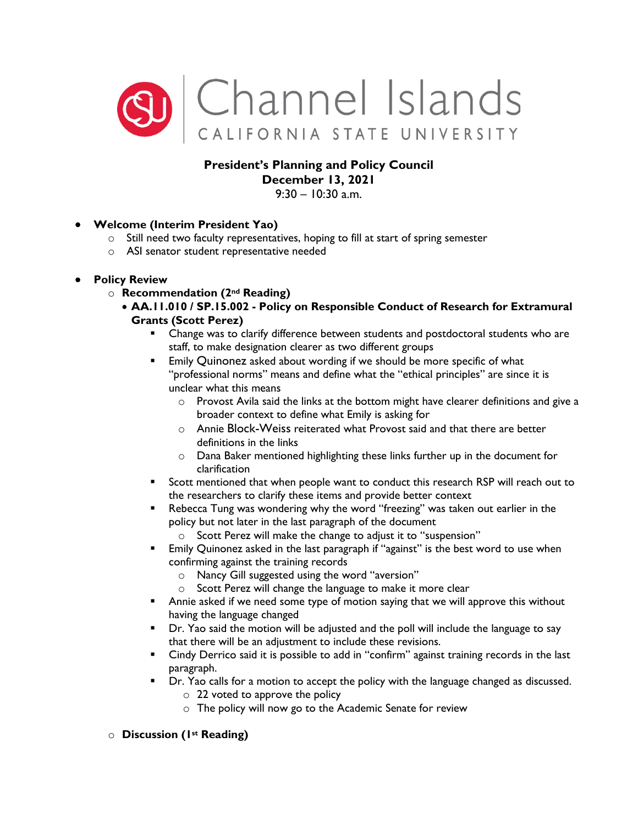

# **President's Planning and Policy Council December 13, 2021**

 $9:30 - 10:30$  a.m.

### • **Welcome (Interim President Yao)**

- $\circ$  Still need two faculty representatives, hoping to fill at start of spring semester
- o ASI senator student representative needed

### • **Policy Review**

- o **Recommendation (2nd Reading)** 
	- **AA.11.010 / SP.15.002 - Policy on Responsible Conduct of Research for Extramural Grants (Scott Perez)** 
		- **EXEC** Change was to clarify difference between students and postdoctoral students who are staff, to make designation clearer as two different groups
		- **Emily Quinonez asked about wording if we should be more specific of what** "professional norms" means and define what the "ethical principles" are since it is unclear what this means
			- o Provost Avila said the links at the bottom might have clearer definitions and give a broader context to define what Emily is asking for
			- o Annie Block-Weiss reiterated what Provost said and that there are better definitions in the links
			- o Dana Baker mentioned highlighting these links further up in the document for clarification
		- Scott mentioned that when people want to conduct this research RSP will reach out to the researchers to clarify these items and provide better context
		- Rebecca Tung was wondering why the word "freezing" was taken out earlier in the policy but not later in the last paragraph of the document
			- o Scott Perez will make the change to adjust it to "suspension"
		- **Emily Quinonez asked in the last paragraph if "against" is the best word to use when** confirming against the training records
			- o Nancy Gill suggested using the word "aversion"
			- o Scott Perez will change the language to make it more clear
		- **Annie asked if we need some type of motion saying that we will approve this without** having the language changed
		- Dr. Yao said the motion will be adjusted and the poll will include the language to say that there will be an adjustment to include these revisions.
		- Cindy Derrico said it is possible to add in "confirm" against training records in the last paragraph.
		- **•** Dr. Yao calls for a motion to accept the policy with the language changed as discussed.
			- o 22 voted to approve the policy
			- o The policy will now go to the Academic Senate for review

#### o **Discussion (1st Reading)**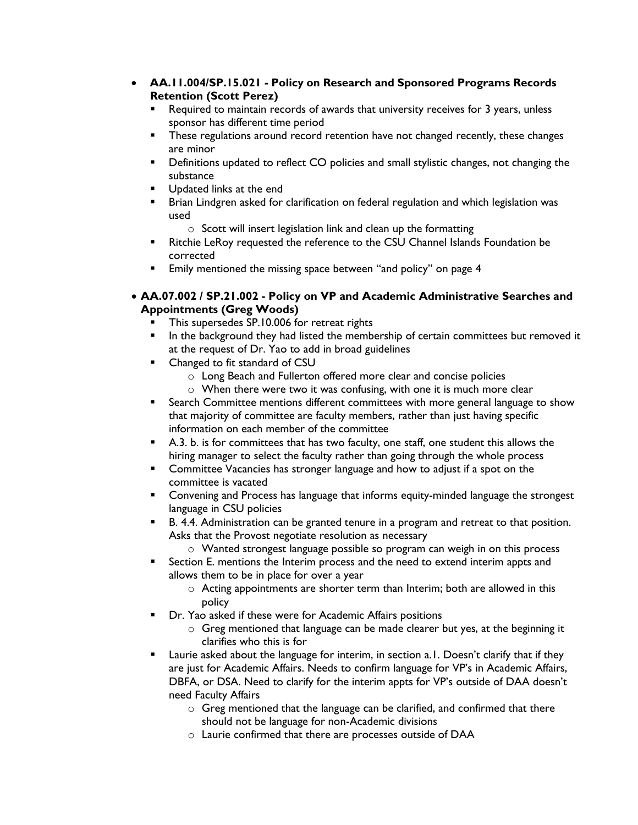- **AA.11.004/SP.15.021 - Policy on Research and Sponsored Programs Records Retention (Scott Perez)** 
	- Required to maintain records of awards that university receives for 3 years, unless sponsor has different time period
	- **These regulations around record retention have not changed recently, these changes** are minor
	- **•** Definitions updated to reflect CO policies and small stylistic changes, not changing the substance
	- **Updated links at the end**
	- Brian Lindgren asked for clarification on federal regulation and which legislation was used
		- o Scott will insert legislation link and clean up the formatting
	- **Ritchie LeRoy requested the reference to the CSU Channel Islands Foundation be** corrected
	- **Emily mentioned the missing space between "and policy" on page 4**
- **AA.07.002 / SP.21.002 - Policy on VP and Academic Administrative Searches and Appointments (Greg Woods)**
	- This supersedes SP.10.006 for retreat rights
	- In the background they had listed the membership of certain committees but removed it at the request of Dr. Yao to add in broad guidelines
	- **EXECUTE:** Changed to fit standard of CSU
		- o Long Beach and Fullerton offered more clear and concise policies
		- o When there were two it was confusing, with one it is much more clear
	- Search Committee mentions different committees with more general language to show that majority of committee are faculty members, rather than just having specific information on each member of the committee
	- A.3. b. is for committees that has two faculty, one staff, one student this allows the hiring manager to select the faculty rather than going through the whole process
	- **EXED** Committee Vacancies has stronger language and how to adjust if a spot on the committee is vacated
	- Convening and Process has language that informs equity-minded language the strongest language in CSU policies
	- **B.** 4.4. Administration can be granted tenure in a program and retreat to that position. Asks that the Provost negotiate resolution as necessary

o Wanted strongest language possible so program can weigh in on this process

- Section E. mentions the Interim process and the need to extend interim appts and allows them to be in place for over a year
	- o Acting appointments are shorter term than Interim; both are allowed in this policy
- Dr. Yao asked if these were for Academic Affairs positions
	- o Greg mentioned that language can be made clearer but yes, at the beginning it clarifies who this is for
- Laurie asked about the language for interim, in section a.1. Doesn't clarify that if they are just for Academic Affairs. Needs to confirm language for VP's in Academic Affairs, DBFA, or DSA. Need to clarify for the interim appts for VP's outside of DAA doesn't need Faculty Affairs
	- o Greg mentioned that the language can be clarified, and confirmed that there should not be language for non-Academic divisions
	- o Laurie confirmed that there are processes outside of DAA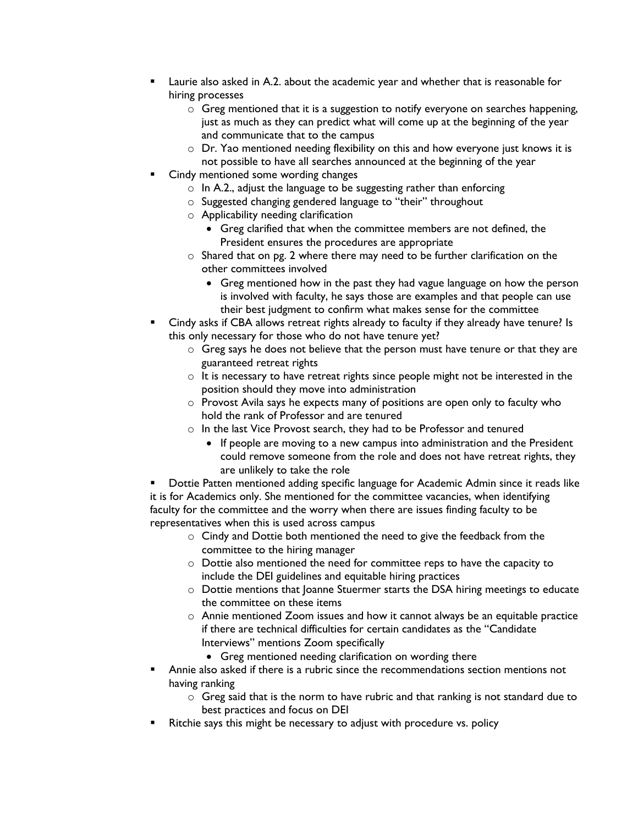- Laurie also asked in A.2. about the academic year and whether that is reasonable for hiring processes
	- o Greg mentioned that it is a suggestion to notify everyone on searches happening, just as much as they can predict what will come up at the beginning of the year and communicate that to the campus
	- o Dr. Yao mentioned needing flexibility on this and how everyone just knows it is not possible to have all searches announced at the beginning of the year
- Cindy mentioned some wording changes
	- o In A.2., adjust the language to be suggesting rather than enforcing
	- o Suggested changing gendered language to "their" throughout
	- o Applicability needing clarification
		- Greg clarified that when the committee members are not defined, the President ensures the procedures are appropriate
	- o Shared that on pg. 2 where there may need to be further clarification on the other committees involved
		- Greg mentioned how in the past they had vague language on how the person is involved with faculty, he says those are examples and that people can use their best judgment to confirm what makes sense for the committee
- Cindy asks if CBA allows retreat rights already to faculty if they already have tenure? Is this only necessary for those who do not have tenure yet?
	- o Greg says he does not believe that the person must have tenure or that they are guaranteed retreat rights
	- $\circ$  It is necessary to have retreat rights since people might not be interested in the position should they move into administration
	- o Provost Avila says he expects many of positions are open only to faculty who hold the rank of Professor and are tenured
	- o In the last Vice Provost search, they had to be Professor and tenured
		- If people are moving to a new campus into administration and the President could remove someone from the role and does not have retreat rights, they are unlikely to take the role

 Dottie Patten mentioned adding specific language for Academic Admin since it reads like it is for Academics only. She mentioned for the committee vacancies, when identifying faculty for the committee and the worry when there are issues finding faculty to be representatives when this is used across campus

- o Cindy and Dottie both mentioned the need to give the feedback from the committee to the hiring manager
- o Dottie also mentioned the need for committee reps to have the capacity to include the DEI guidelines and equitable hiring practices
- o Dottie mentions that Joanne Stuermer starts the DSA hiring meetings to educate the committee on these items
- o Annie mentioned Zoom issues and how it cannot always be an equitable practice if there are technical difficulties for certain candidates as the "Candidate Interviews" mentions Zoom specifically
	- Greg mentioned needing clarification on wording there
- Annie also asked if there is a rubric since the recommendations section mentions not having ranking
	- $\circ$  Greg said that is the norm to have rubric and that ranking is not standard due to best practices and focus on DEI
- Ritchie says this might be necessary to adjust with procedure vs. policy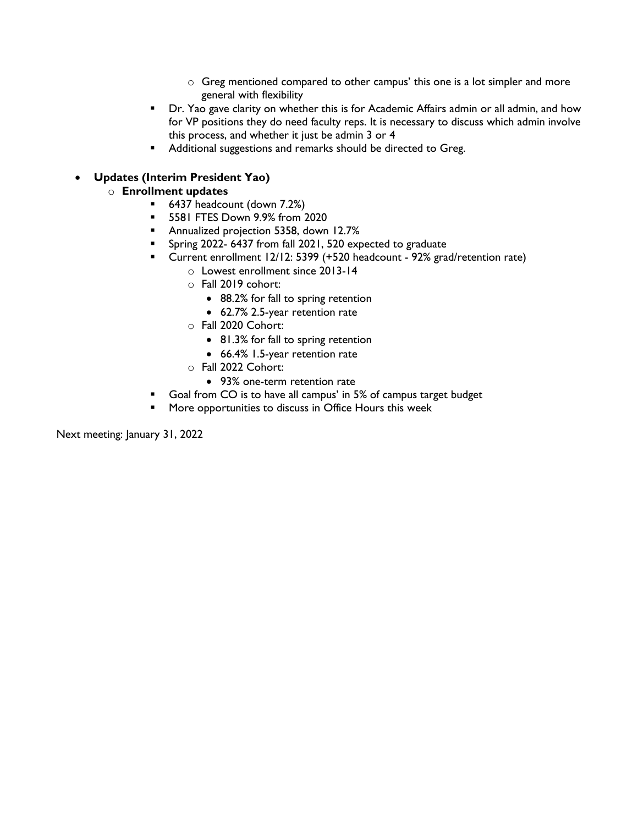- o Greg mentioned compared to other campus' this one is a lot simpler and more general with flexibility
- **•** Dr. Yao gave clarity on whether this is for Academic Affairs admin or all admin, and how for VP positions they do need faculty reps. It is necessary to discuss which admin involve this process, and whether it just be admin 3 or 4
- **Additional suggestions and remarks should be directed to Greg.**

## • **Updates (Interim President Yao)**

## o **Enrollment updates**

- 6437 headcount (down 7.2%)
- **5581 FTES Down 9.9% from 2020**
- **Annualized projection 5358, down 12.7%**
- **Spring 2022-6437 from fall 2021, 520 expected to graduate**
- Current enrollment 12/12: 5399 (+520 headcount 92% grad/retention rate)
	- o Lowest enrollment since 2013-14
	- o Fall 2019 cohort:
		- 88.2% for fall to spring retention
		- 62.7% 2.5-year retention rate
	- o Fall 2020 Cohort:
		- 81.3% for fall to spring retention
		- 66.4% 1.5-year retention rate
	- o Fall 2022 Cohort:
		- 93% one-term retention rate
- Goal from CO is to have all campus' in 5% of campus target budget
- **More opportunities to discuss in Office Hours this week**

Next meeting: January 31, 2022